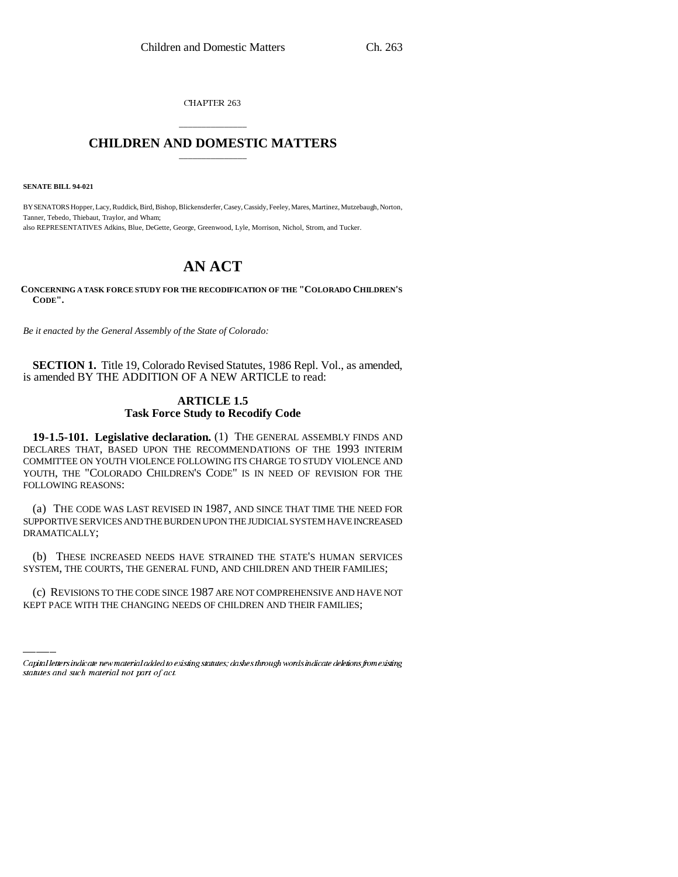CHAPTER 263

## \_\_\_\_\_\_\_\_\_\_\_\_\_\_\_ **CHILDREN AND DOMESTIC MATTERS** \_\_\_\_\_\_\_\_\_\_\_\_\_\_\_

**SENATE BILL 94-021**

BY SENATORS Hopper, Lacy, Ruddick, Bird, Bishop, Blickensderfer, Casey, Cassidy, Feeley, Mares, Martinez, Mutzebaugh, Norton, Tanner, Tebedo, Thiebaut, Traylor, and Wham; also REPRESENTATIVES Adkins, Blue, DeGette, George, Greenwood, Lyle, Morrison, Nichol, Strom, and Tucker.

# **AN ACT**

**CONCERNING A TASK FORCE STUDY FOR THE RECODIFICATION OF THE "COLORADO CHILDREN'S CODE".**

*Be it enacted by the General Assembly of the State of Colorado:*

**SECTION 1.** Title 19, Colorado Revised Statutes, 1986 Repl. Vol., as amended, is amended BY THE ADDITION OF A NEW ARTICLE to read:

## **ARTICLE 1.5 Task Force Study to Recodify Code**

**19-1.5-101. Legislative declaration.** (1) THE GENERAL ASSEMBLY FINDS AND DECLARES THAT, BASED UPON THE RECOMMENDATIONS OF THE 1993 INTERIM COMMITTEE ON YOUTH VIOLENCE FOLLOWING ITS CHARGE TO STUDY VIOLENCE AND YOUTH, THE "COLORADO CHILDREN'S CODE" IS IN NEED OF REVISION FOR THE FOLLOWING REASONS:

(a) THE CODE WAS LAST REVISED IN 1987, AND SINCE THAT TIME THE NEED FOR SUPPORTIVE SERVICES AND THE BURDEN UPON THE JUDICIAL SYSTEM HAVE INCREASED DRAMATICALLY;

SYSTEM, THE COURTS, THE GENERAL FUND, AND CHILDREN AND THEIR FAMILIES; (b) THESE INCREASED NEEDS HAVE STRAINED THE STATE'S HUMAN SERVICES

(c) REVISIONS TO THE CODE SINCE 1987 ARE NOT COMPREHENSIVE AND HAVE NOT KEPT PACE WITH THE CHANGING NEEDS OF CHILDREN AND THEIR FAMILIES;

Capital letters indicate new material added to existing statutes; dashes through words indicate deletions from existing statutes and such material not part of act.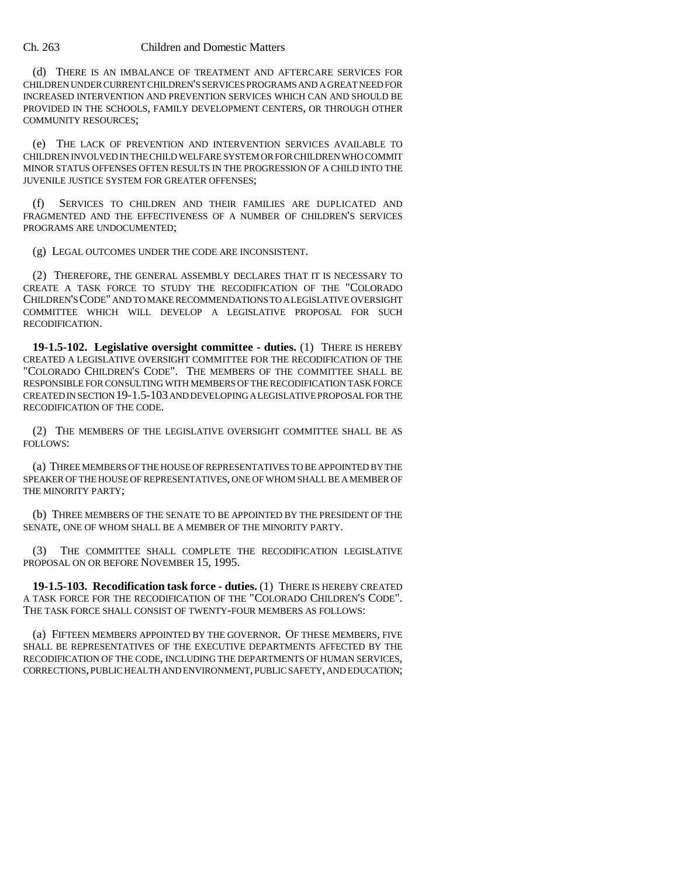### Ch. 263 Children and Domestic Matters

(d) THERE IS AN IMBALANCE OF TREATMENT AND AFTERCARE SERVICES FOR CHILDREN UNDER CURRENT CHILDREN'S SERVICES PROGRAMS AND A GREAT NEED FOR INCREASED INTERVENTION AND PREVENTION SERVICES WHICH CAN AND SHOULD BE PROVIDED IN THE SCHOOLS, FAMILY DEVELOPMENT CENTERS, OR THROUGH OTHER COMMUNITY RESOURCES;

(e) THE LACK OF PREVENTION AND INTERVENTION SERVICES AVAILABLE TO CHILDREN INVOLVED IN THE CHILD WELFARE SYSTEM OR FOR CHILDREN WHO COMMIT MINOR STATUS OFFENSES OFTEN RESULTS IN THE PROGRESSION OF A CHILD INTO THE JUVENILE JUSTICE SYSTEM FOR GREATER OFFENSES;

(f) SERVICES TO CHILDREN AND THEIR FAMILIES ARE DUPLICATED AND FRAGMENTED AND THE EFFECTIVENESS OF A NUMBER OF CHILDREN'S SERVICES PROGRAMS ARE UNDOCUMENTED;

(g) LEGAL OUTCOMES UNDER THE CODE ARE INCONSISTENT.

(2) THEREFORE, THE GENERAL ASSEMBLY DECLARES THAT IT IS NECESSARY TO CREATE A TASK FORCE TO STUDY THE RECODIFICATION OF THE "COLORADO CHILDREN'S CODE" AND TO MAKE RECOMMENDATIONS TO A LEGISLATIVE OVERSIGHT COMMITTEE WHICH WILL DEVELOP A LEGISLATIVE PROPOSAL FOR SUCH RECODIFICATION.

**19-1.5-102. Legislative oversight committee - duties.** (1) THERE IS HEREBY CREATED A LEGISLATIVE OVERSIGHT COMMITTEE FOR THE RECODIFICATION OF THE "COLORADO CHILDREN'S CODE". THE MEMBERS OF THE COMMITTEE SHALL BE RESPONSIBLE FOR CONSULTING WITH MEMBERS OF THE RECODIFICATION TASK FORCE CREATED IN SECTION 19-1.5-103 AND DEVELOPING A LEGISLATIVE PROPOSAL FOR THE RECODIFICATION OF THE CODE.

(2) THE MEMBERS OF THE LEGISLATIVE OVERSIGHT COMMITTEE SHALL BE AS FOLLOWS:

(a) THREE MEMBERS OF THE HOUSE OF REPRESENTATIVES TO BE APPOINTED BY THE SPEAKER OF THE HOUSE OF REPRESENTATIVES, ONE OF WHOM SHALL BE A MEMBER OF THE MINORITY PARTY;

(b) THREE MEMBERS OF THE SENATE TO BE APPOINTED BY THE PRESIDENT OF THE SENATE, ONE OF WHOM SHALL BE A MEMBER OF THE MINORITY PARTY.

(3) THE COMMITTEE SHALL COMPLETE THE RECODIFICATION LEGISLATIVE PROPOSAL ON OR BEFORE NOVEMBER 15, 1995.

**19-1.5-103. Recodification task force - duties.** (1) THERE IS HEREBY CREATED A TASK FORCE FOR THE RECODIFICATION OF THE "COLORADO CHILDREN'S CODE". THE TASK FORCE SHALL CONSIST OF TWENTY-FOUR MEMBERS AS FOLLOWS:

(a) FIFTEEN MEMBERS APPOINTED BY THE GOVERNOR. OF THESE MEMBERS, FIVE SHALL BE REPRESENTATIVES OF THE EXECUTIVE DEPARTMENTS AFFECTED BY THE RECODIFICATION OF THE CODE, INCLUDING THE DEPARTMENTS OF HUMAN SERVICES, CORRECTIONS, PUBLIC HEALTH AND ENVIRONMENT, PUBLIC SAFETY, AND EDUCATION;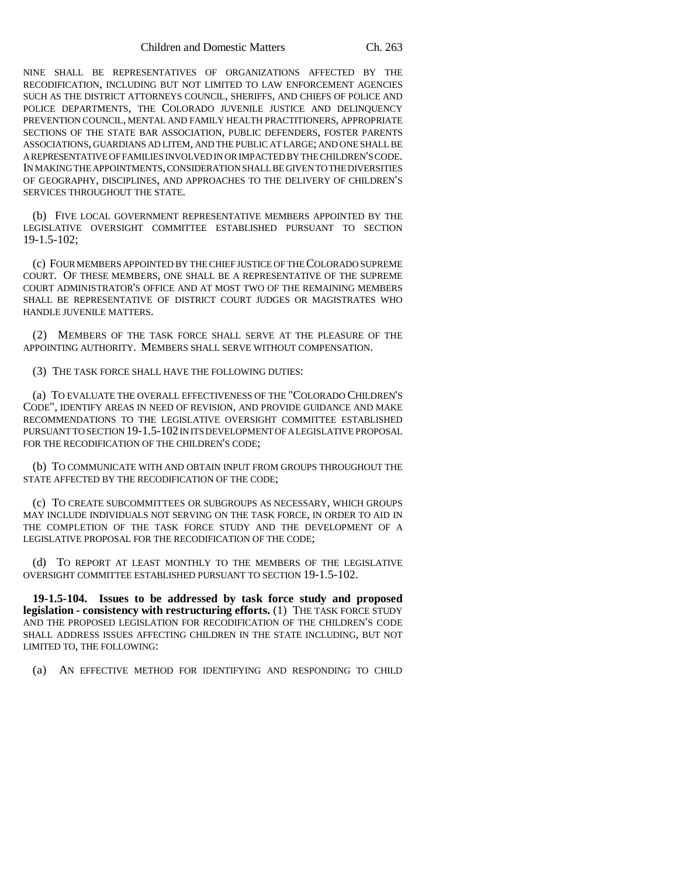NINE SHALL BE REPRESENTATIVES OF ORGANIZATIONS AFFECTED BY THE RECODIFICATION, INCLUDING BUT NOT LIMITED TO LAW ENFORCEMENT AGENCIES SUCH AS THE DISTRICT ATTORNEYS COUNCIL, SHERIFFS, AND CHIEFS OF POLICE AND POLICE DEPARTMENTS, THE COLORADO JUVENILE JUSTICE AND DELINQUENCY PREVENTION COUNCIL, MENTAL AND FAMILY HEALTH PRACTITIONERS, APPROPRIATE SECTIONS OF THE STATE BAR ASSOCIATION, PUBLIC DEFENDERS, FOSTER PARENTS ASSOCIATIONS, GUARDIANS AD LITEM, AND THE PUBLIC AT LARGE; AND ONE SHALL BE A REPRESENTATIVE OF FAMILIES INVOLVED IN OR IMPACTED BY THE CHILDREN'S CODE. IN MAKING THE APPOINTMENTS, CONSIDERATION SHALL BE GIVEN TO THE DIVERSITIES OF GEOGRAPHY, DISCIPLINES, AND APPROACHES TO THE DELIVERY OF CHILDREN'S SERVICES THROUGHOUT THE STATE.

(b) FIVE LOCAL GOVERNMENT REPRESENTATIVE MEMBERS APPOINTED BY THE LEGISLATIVE OVERSIGHT COMMITTEE ESTABLISHED PURSUANT TO SECTION 19-1.5-102;

(c) FOUR MEMBERS APPOINTED BY THE CHIEF JUSTICE OF THE COLORADO SUPREME COURT. OF THESE MEMBERS, ONE SHALL BE A REPRESENTATIVE OF THE SUPREME COURT ADMINISTRATOR'S OFFICE AND AT MOST TWO OF THE REMAINING MEMBERS SHALL BE REPRESENTATIVE OF DISTRICT COURT JUDGES OR MAGISTRATES WHO HANDLE JUVENILE MATTERS.

(2) MEMBERS OF THE TASK FORCE SHALL SERVE AT THE PLEASURE OF THE APPOINTING AUTHORITY. MEMBERS SHALL SERVE WITHOUT COMPENSATION.

(3) THE TASK FORCE SHALL HAVE THE FOLLOWING DUTIES:

(a) TO EVALUATE THE OVERALL EFFECTIVENESS OF THE "COLORADO CHILDREN'S CODE", IDENTIFY AREAS IN NEED OF REVISION, AND PROVIDE GUIDANCE AND MAKE RECOMMENDATIONS TO THE LEGISLATIVE OVERSIGHT COMMITTEE ESTABLISHED PURSUANT TO SECTION 19-1.5-102 IN ITS DEVELOPMENT OF A LEGISLATIVE PROPOSAL FOR THE RECODIFICATION OF THE CHILDREN'S CODE;

(b) TO COMMUNICATE WITH AND OBTAIN INPUT FROM GROUPS THROUGHOUT THE STATE AFFECTED BY THE RECODIFICATION OF THE CODE;

(c) TO CREATE SUBCOMMITTEES OR SUBGROUPS AS NECESSARY, WHICH GROUPS MAY INCLUDE INDIVIDUALS NOT SERVING ON THE TASK FORCE, IN ORDER TO AID IN THE COMPLETION OF THE TASK FORCE STUDY AND THE DEVELOPMENT OF A LEGISLATIVE PROPOSAL FOR THE RECODIFICATION OF THE CODE;

(d) TO REPORT AT LEAST MONTHLY TO THE MEMBERS OF THE LEGISLATIVE OVERSIGHT COMMITTEE ESTABLISHED PURSUANT TO SECTION 19-1.5-102.

**19-1.5-104. Issues to be addressed by task force study and proposed legislation - consistency with restructuring efforts.** (1) THE TASK FORCE STUDY AND THE PROPOSED LEGISLATION FOR RECODIFICATION OF THE CHILDREN'S CODE SHALL ADDRESS ISSUES AFFECTING CHILDREN IN THE STATE INCLUDING, BUT NOT LIMITED TO, THE FOLLOWING:

(a) AN EFFECTIVE METHOD FOR IDENTIFYING AND RESPONDING TO CHILD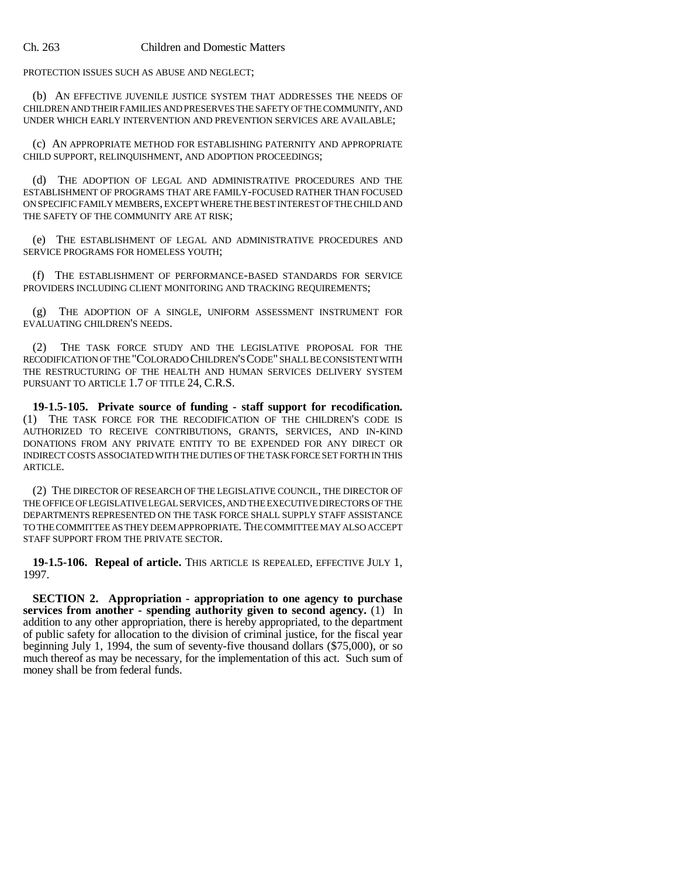#### Ch. 263 Children and Domestic Matters

PROTECTION ISSUES SUCH AS ABUSE AND NEGLECT;

(b) AN EFFECTIVE JUVENILE JUSTICE SYSTEM THAT ADDRESSES THE NEEDS OF CHILDREN AND THEIR FAMILIES AND PRESERVES THE SAFETY OF THE COMMUNITY, AND UNDER WHICH EARLY INTERVENTION AND PREVENTION SERVICES ARE AVAILABLE;

(c) AN APPROPRIATE METHOD FOR ESTABLISHING PATERNITY AND APPROPRIATE CHILD SUPPORT, RELINQUISHMENT, AND ADOPTION PROCEEDINGS;

(d) THE ADOPTION OF LEGAL AND ADMINISTRATIVE PROCEDURES AND THE ESTABLISHMENT OF PROGRAMS THAT ARE FAMILY-FOCUSED RATHER THAN FOCUSED ON SPECIFIC FAMILY MEMBERS, EXCEPT WHERE THE BEST INTEREST OF THE CHILD AND THE SAFETY OF THE COMMUNITY ARE AT RISK;

(e) THE ESTABLISHMENT OF LEGAL AND ADMINISTRATIVE PROCEDURES AND SERVICE PROGRAMS FOR HOMELESS YOUTH;

(f) THE ESTABLISHMENT OF PERFORMANCE-BASED STANDARDS FOR SERVICE PROVIDERS INCLUDING CLIENT MONITORING AND TRACKING REQUIREMENTS;

(g) THE ADOPTION OF A SINGLE, UNIFORM ASSESSMENT INSTRUMENT FOR EVALUATING CHILDREN'S NEEDS.

(2) THE TASK FORCE STUDY AND THE LEGISLATIVE PROPOSAL FOR THE RECODIFICATION OF THE "COLORADO CHILDREN'S CODE" SHALL BE CONSISTENT WITH THE RESTRUCTURING OF THE HEALTH AND HUMAN SERVICES DELIVERY SYSTEM PURSUANT TO ARTICLE 1.7 OF TITLE 24, C.R.S.

**19-1.5-105. Private source of funding - staff support for recodification.** (1) THE TASK FORCE FOR THE RECODIFICATION OF THE CHILDREN'S CODE IS AUTHORIZED TO RECEIVE CONTRIBUTIONS, GRANTS, SERVICES, AND IN-KIND DONATIONS FROM ANY PRIVATE ENTITY TO BE EXPENDED FOR ANY DIRECT OR INDIRECT COSTS ASSOCIATED WITH THE DUTIES OF THE TASK FORCE SET FORTH IN THIS ARTICLE.

(2) THE DIRECTOR OF RESEARCH OF THE LEGISLATIVE COUNCIL, THE DIRECTOR OF THE OFFICE OF LEGISLATIVE LEGAL SERVICES, AND THE EXECUTIVE DIRECTORS OF THE DEPARTMENTS REPRESENTED ON THE TASK FORCE SHALL SUPPLY STAFF ASSISTANCE TO THE COMMITTEE AS THEY DEEM APPROPRIATE. THE COMMITTEE MAY ALSO ACCEPT STAFF SUPPORT FROM THE PRIVATE SECTOR.

**19-1.5-106. Repeal of article.** THIS ARTICLE IS REPEALED, EFFECTIVE JULY 1, 1997.

**SECTION 2. Appropriation - appropriation to one agency to purchase services from another - spending authority given to second agency.** (1) In addition to any other appropriation, there is hereby appropriated, to the department of public safety for allocation to the division of criminal justice, for the fiscal year beginning July 1, 1994, the sum of seventy-five thousand dollars (\$75,000), or so much thereof as may be necessary, for the implementation of this act. Such sum of money shall be from federal funds.